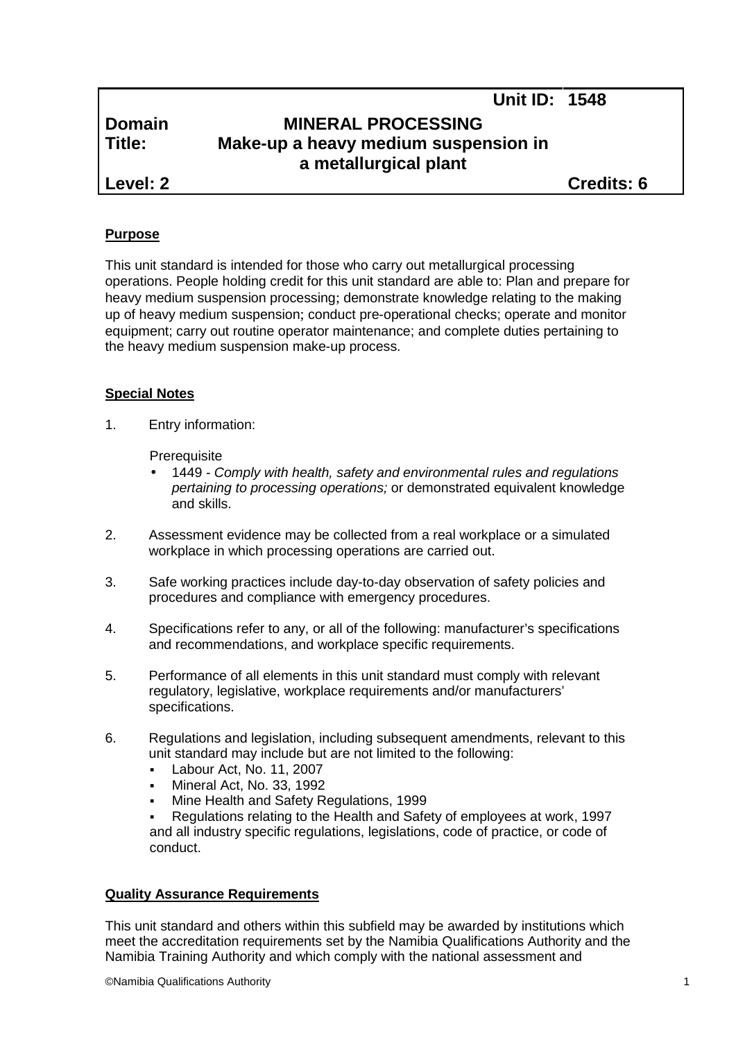# **Domain MINERAL PROCESSING Title: Make-up a heavy medium suspension in a metallurgical plant**

**Level: 2 Credits: 6**

**Unit ID: 1548**

## **Purpose**

This unit standard is intended for those who carry out metallurgical processing operations. People holding credit for this unit standard are able to: Plan and prepare for heavy medium suspension processing; demonstrate knowledge relating to the making up of heavy medium suspension; conduct pre-operational checks; operate and monitor equipment; carry out routine operator maintenance; and complete duties pertaining to the heavy medium suspension make-up process.

## **Special Notes**

1. Entry information:

#### **Prerequisite**

- 1449 *- Comply with health, safety and environmental rules and regulations pertaining to processing operations;* or demonstrated equivalent knowledge and skills.
- 2. Assessment evidence may be collected from a real workplace or a simulated workplace in which processing operations are carried out.
- 3. Safe working practices include day-to-day observation of safety policies and procedures and compliance with emergency procedures.
- 4. Specifications refer to any, or all of the following: manufacturer's specifications and recommendations, and workplace specific requirements.
- 5. Performance of all elements in this unit standard must comply with relevant regulatory, legislative, workplace requirements and/or manufacturers' specifications.
- 6. Regulations and legislation, including subsequent amendments, relevant to this unit standard may include but are not limited to the following:
	- **Labour Act, No. 11, 2007**
	- Mineral Act, No. 33, 1992
	- Mine Health and Safety Regulations, 1999

 Regulations relating to the Health and Safety of employees at work, 1997 and all industry specific regulations, legislations, code of practice, or code of conduct.

## **Quality Assurance Requirements**

This unit standard and others within this subfield may be awarded by institutions which meet the accreditation requirements set by the Namibia Qualifications Authority and the Namibia Training Authority and which comply with the national assessment and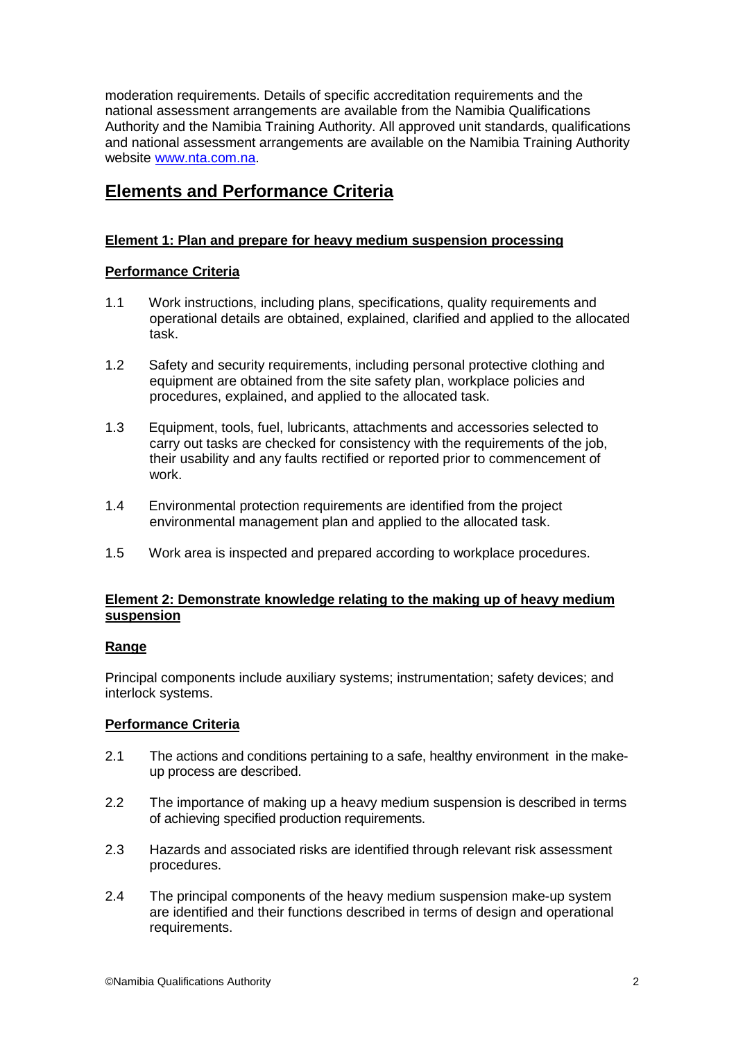moderation requirements. Details of specific accreditation requirements and the national assessment arrangements are available from the Namibia Qualifications Authority and the Namibia Training Authority. All approved unit standards, qualifications and national assessment arrangements are available on the Namibia Training Authority website www.nta.com.na.

## **Elements and Performance Criteria**

## **Element 1: Plan and prepare for heavy medium suspension processing**

## **Performance Criteria**

- 1.1 Work instructions, including plans, specifications, quality requirements and operational details are obtained, explained, clarified and applied to the allocated task.
- 1.2 Safety and security requirements, including personal protective clothing and equipment are obtained from the site safety plan, workplace policies and procedures, explained, and applied to the allocated task.
- 1.3 Equipment, tools, fuel, lubricants, attachments and accessories selected to carry out tasks are checked for consistency with the requirements of the job, their usability and any faults rectified or reported prior to commencement of work.
- 1.4 Environmental protection requirements are identified from the project environmental management plan and applied to the allocated task.
- 1.5 Work area is inspected and prepared according to workplace procedures.

## **Element 2: Demonstrate knowledge relating to the making up of heavy medium suspension**

## **Range**

Principal components include auxiliary systems; instrumentation; safety devices; and interlock systems.

## **Performance Criteria**

- 2.1 The actions and conditions pertaining to a safe, healthy environment in the make up process are described.
- 2.2 The importance of making up a heavy medium suspension is described in terms of achieving specified production requirements.
- 2.3 Hazards and associated risks are identified through relevant risk assessment procedures.
- 2.4 The principal components of the heavy medium suspension make-up system are identified and their functions described in terms of design and operational requirements.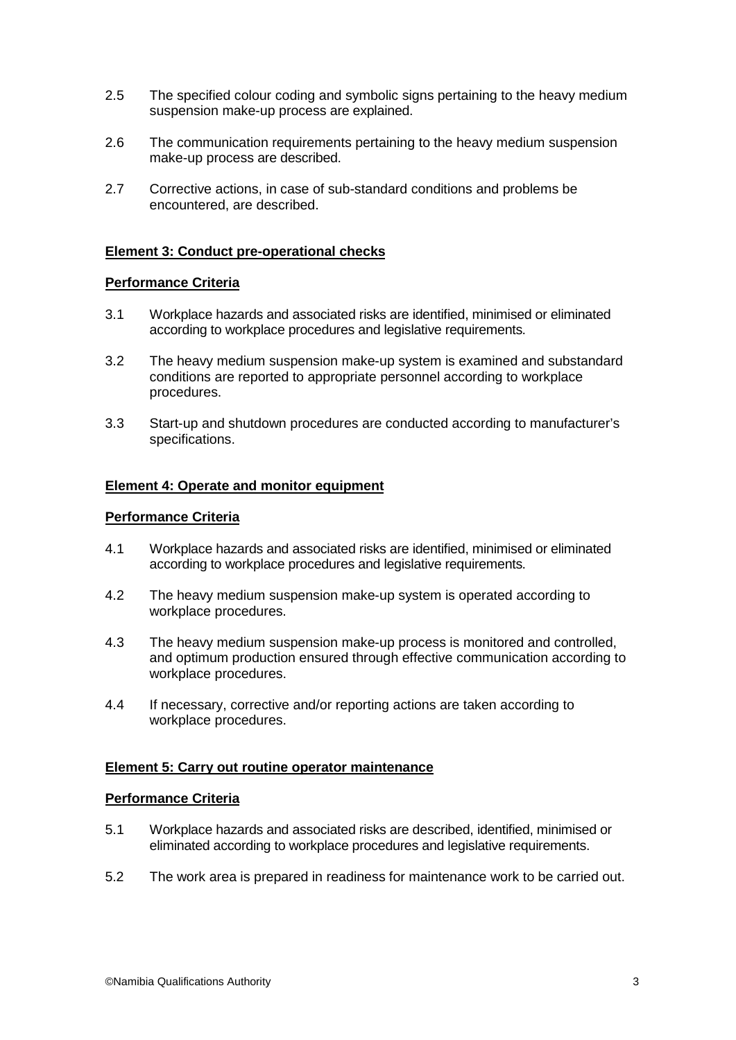- 2.5 The specified colour coding and symbolic signs pertaining to the heavy medium suspension make-up process are explained.
- 2.6 The communication requirements pertaining to the heavy medium suspension make-up process are described.
- 2.7 Corrective actions, in case of sub-standard conditions and problems be encountered, are described.

#### **Element 3: Conduct pre-operational checks**

#### **Performance Criteria**

- 3.1 Workplace hazards and associated risks are identified, minimised or eliminated according to workplace procedures and legislative requirements.
- 3.2 The heavy medium suspension make-up system is examined and substandard conditions are reported to appropriate personnel according to workplace procedures.
- 3.3 Start-up and shutdown procedures are conducted according to manufacturer's specifications.

#### **Element 4: Operate and monitor equipment**

#### **Performance Criteria**

- 4.1 Workplace hazards and associated risks are identified, minimised or eliminated according to workplace procedures and legislative requirements.
- 4.2 The heavy medium suspension make-up system is operated according to workplace procedures.
- 4.3 The heavy medium suspension make-up process is monitored and controlled, and optimum production ensured through effective communication according to workplace procedures.
- 4.4 If necessary, corrective and/or reporting actions are taken according to workplace procedures.

#### **Element 5: Carry out routine operator maintenance**

#### **Performance Criteria**

- 5.1 Workplace hazards and associated risks are described, identified, minimised or eliminated according to workplace procedures and legislative requirements.
- 5.2 The work area is prepared in readiness for maintenance work to be carried out.